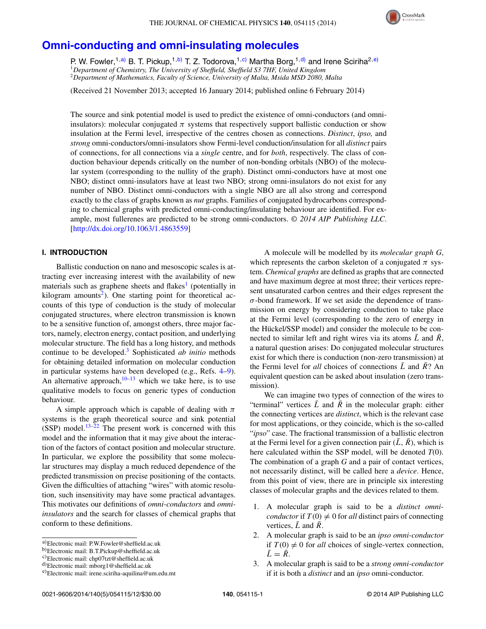

# **[Omni-conducting and omni-insulating molecules](http://dx.doi.org/10.1063/1.4863559)**

P. W. Fowler,<sup>1[,a\)](#page-0-0)</sup> B. T. Pickup,<sup>1[,b\)](#page-0-1)</sup> T. Z. Todorova,<sup>1[,c\)](#page-0-2)</sup> Martha Borg,<sup>1[,d\)](#page-0-3)</sup> and Irene Sciriha<sup>2[,e\)](#page-0-4)</sup> <sup>1</sup>*Department of Chemistry, The University of Sheffield, Sheffield S3 7HF, United Kingdom* <sup>2</sup>*Department of Mathematics, Faculty of Science, University of Malta, Msida MSD 2080, Malta*

(Received 21 November 2013; accepted 16 January 2014; published online 6 February 2014)

The source and sink potential model is used to predict the existence of omni-conductors (and omniinsulators): molecular conjugated  $\pi$  systems that respectively support ballistic conduction or show insulation at the Fermi level, irrespective of the centres chosen as connections. *Distinct*, *ipso,* and *strong* omni-conductors/omni-insulators show Fermi-level conduction/insulation for all *distinct* pairs of connections, for all connections via a *single* centre, and for *both*, respectively. The class of conduction behaviour depends critically on the number of non-bonding orbitals (NBO) of the molecular system (corresponding to the nullity of the graph). Distinct omni-conductors have at most one NBO; distinct omni-insulators have at least two NBO; strong omni-insulators do not exist for any number of NBO. Distinct omni-conductors with a single NBO are all also strong and correspond exactly to the class of graphs known as *nut* graphs. Families of conjugated hydrocarbons corresponding to chemical graphs with predicted omni-conducting/insulating behaviour are identified. For example, most fullerenes are predicted to be strong omni-conductors. *© 2014 AIP Publishing LLC*. [\[http://dx.doi.org/10.1063/1.4863559\]](http://dx.doi.org/10.1063/1.4863559)

# **I. INTRODUCTION**

Ballistic conduction on nano and mesoscopic scales is attracting ever increasing interest with the availability of new materials such as graphene sheets and flakes<sup>[1](#page-11-0)</sup> (potentially in kilogram amounts<sup>2</sup>). One starting point for theoretical accounts of this type of conduction is the study of molecular conjugated structures, where electron transmission is known to be a sensitive function of, amongst others, three major factors, namely, electron energy, contact position, and underlying molecular structure. The field has a long history, and methods continue to be developed.[3](#page-11-2) Sophisticated *ab initio* methods for obtaining detailed information on molecular conduction in particular systems have been developed (e.g., Refs. [4](#page-11-3)[–9\)](#page-11-4). An alternative approach, $10-13$  $10-13$  which we take here, is to use qualitative models to focus on generic types of conduction behaviour.

A simple approach which is capable of dealing with *π* systems is the graph theoretical source and sink potential (SSP) model. $13-22$  $13-22$  The present work is concerned with this model and the information that it may give about the interaction of the factors of contact position and molecular structure. In particular, we explore the possibility that some molecular structures may display a much reduced dependence of the predicted transmission on precise positioning of the contacts. Given the difficulties of attaching "wires" with atomic resolution, such insensitivity may have some practical advantages. This motivates our definitions of *omni-conductors* and *omniinsulators* and the search for classes of chemical graphs that conform to these definitions.

A molecule will be modelled by its *molecular graph G*, which represents the carbon skeleton of a conjugated  $\pi$  system. *Chemical graphs* are defined as graphs that are connected and have maximum degree at most three; their vertices represent unsaturated carbon centres and their edges represent the *σ*-bond framework. If we set aside the dependence of transmission on energy by considering conduction to take place at the Fermi level (corresponding to the zero of energy in the Hückel/SSP model) and consider the molecule to be connected to similar left and right wires via its atoms  $\bar{L}$  and  $\bar{R}$ , a natural question arises: Do conjugated molecular structures exist for which there is conduction (non-zero transmission) at the Fermi level for *all* choices of connections  $\overline{L}$  and  $\overline{R}$ ? An equivalent question can be asked about insulation (zero transmission).

We can imagine two types of connection of the wires to "terminal" vertices  $\bar{L}$  and  $\bar{R}$  in the molecular graph: either the connecting vertices are *distinct*, which is the relevant case for most applications, or they coincide, which is the so-called "*ipso*" case. The fractional transmission of a ballistic electron at the Fermi level for a given connection pair  $(\bar{L}, \bar{R})$ , which is here calculated within the SSP model, will be denoted *T*(0). The combination of a graph *G* and a pair of contact vertices, not necessarily distinct, will be called here a *device*. Hence, from this point of view, there are in principle six interesting classes of molecular graphs and the devices related to them.

- 1. A molecular graph is said to be a *distinct omniconductor* if  $T(0) \neq 0$  for *all* distinct pairs of connecting vertices,  $\bar{L}$  and  $\bar{R}$ .
- 2. A molecular graph is said to be an *ipso omni-conductor* if  $T(0) \neq 0$  for *all* choices of single-vertex connection,  $\bar{L} = \bar{R}$ .
- 3. A molecular graph is said to be a *strong omni-conductor* if it is both a *distinct* and an *ipso* omni-conductor.

<span id="page-0-0"></span>a)Electronic mail: [P.W.Fowler@sheffield.ac.uk](mailto: P.W.Fowler@sheffield.ac.uk)

<span id="page-0-1"></span>b)Electronic mail: [B.T.Pickup@sheffield.ac.uk](mailto: B.T.Pickup@sheffield.ac.uk)

<span id="page-0-2"></span>c)Electronic mail: [chp07tzt@sheffield.ac.uk](mailto: chp07tzt@sheffield.ac.uk)

<span id="page-0-3"></span>d)Electronic mail: [mborg1@sheffield.ac.uk](mailto: mborg1@sheffield.ac.uk)

<span id="page-0-4"></span>e)Electronic mail: [irene.sciriha-aquilina@um.edu.mt](mailto: irene.sciriha-aquilina@um.edu.mt)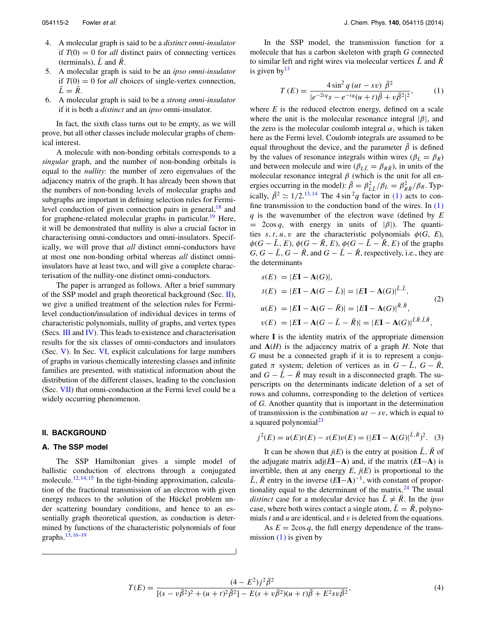- 4. A molecular graph is said to be a *distinct omni-insulator* if  $T(0) = 0$  for *all* distinct pairs of connecting vertices (terminals),  $\overline{L}$  and  $\overline{R}$ .
- 5. A molecular graph is said to be an *ipso omni-insulator* if  $T(0) = 0$  for *all* choices of single-vertex connection,  $\overline{L} = \overline{R}$ .
- 6. A molecular graph is said to be a *strong omni-insulator* if it is both a *distinct* and an *ipso* omni-insulator.

In fact, the sixth class turns out to be empty, as we will prove, but all other classes include molecular graphs of chemical interest.

A molecule with non-bonding orbitals corresponds to a *singular* graph, and the number of non-bonding orbitals is equal to the *nullity*: the number of zero eigenvalues of the adjacency matrix of the graph. It has already been shown that the numbers of non-bonding levels of molecular graphs and subgraphs are important in defining selection rules for Fermilevel conduction of given connection pairs in general,  $^{18}$  and for graphene-related molecular graphs in particular.<sup>[19](#page-11-9)</sup> Here, it will be demonstrated that nullity is also a crucial factor in characterising omni-conductors and omni-insulators. Specifically, we will prove that *all* distinct omni-conductors have at most one non-bonding orbital whereas *all* distinct omniinsulators have at least two, and will give a complete characterisation of the nullity-one distinct omni-conductors.

The paper is arranged as follows. After a brief summary of the SSP model and graph theoretical background (Sec. [II\)](#page-1-0), we give a unified treatment of the selection rules for Fermilevel conduction/insulation of individual devices in terms of characteristic polynomials, nullity of graphs, and vertex types (Secs. [III](#page-4-0) and [IV\)](#page-5-0). This leads to existence and characterisation results for the six classes of omni-conductors and insulators (Sec. [V\)](#page-6-0). In Sec. [VI,](#page-7-0) explicit calculations for large numbers of graphs in various chemically interesting classes and infinite families are presented, with statistical information about the distribution of the different classes, leading to the conclusion (Sec. [VII\)](#page-10-0) that omni-conduction at the Fermi level could be a widely occurring phenomenon.

# <span id="page-1-0"></span>**II. BACKGROUND**

# **A. The SSP model**

The SSP Hamiltonian gives a simple model of ballistic conduction of electrons through a conjugated molecule.<sup>12, [14,](#page-11-11) [15](#page-11-12)</sup> In the tight-binding approximation, calculation of the fractional transmission of an electron with given energy reduces to the solution of the Hückel problem under scattering boundary conditions, and hence to an essentially graph theoretical question, as conduction is determined by functions of the characteristic polynomials of four graphs.[13,](#page-11-6) [16–](#page-11-13)[19](#page-11-9)

In the SSP model, the transmission function for a molecule that has a carbon skeleton with graph *G* connected to similar left and right wires via molecular vertices  $\bar{L}$  and  $\bar{R}$ is given by  $13$ 

<span id="page-1-1"></span>
$$
T(E) = \frac{4\sin^2 q (ut - sv)}{|e^{-2iq} s - e^{-iq} (u+t)\tilde{\beta} + v\tilde{\beta}^2|^2},
$$
 (1)

where  $E$  is the reduced electron energy, defined on a scale where the unit is the molecular resonance integral  $|\beta|$ , and the zero is the molecular coulomb integral *α*, which is taken here as the Fermi level. Coulomb integrals are assumed to be equal throughout the device, and the parameter  $\tilde{\beta}$  is defined by the values of resonance integrals within wires ( $\beta_L = \beta_R$ ) and between molecule and wire  $(\beta_{L\bar{L}} = \beta_{R\bar{R}})$ , in units of the molecular resonance integral  $\beta$  (which is the unit for all energies occurring in the model):  $\tilde{\beta} = \beta_{LL}^2/\beta_L = \beta_{R\bar{R}}^2/\beta_R$ . Typically,  $\tilde{\beta}^2 \simeq 1/2$ .<sup>[13,](#page-11-6) [14](#page-11-11)</sup> The 4 sin<sup>2</sup>q factor in [\(1\)](#page-1-1) acts to confine transmission to the conduction band of the wires. In  $(1)$ *q* is the wavenumber of the electron wave (defined by *E*  $= 2\cos q$ , with energy in units of  $|\beta|$ ). The quantities  $s, t, u, v$  are the characteristic polynomials  $\phi(G, E)$ ,  $\phi(G - \overline{L}, E), \phi(G - \overline{R}, E), \phi(G - \overline{L} - \overline{R}, E)$  of the graphs  $G, G - \overline{L}, G - \overline{R}$ , and  $G - \overline{L} - \overline{R}$ , respectively, i.e., they are the determinants

$$
s(E) = |E\mathbf{I} - \mathbf{A}(G)|,
$$
  
\n
$$
t(E) = |E\mathbf{I} - \mathbf{A}(G - \bar{L})| = |E\mathbf{I} - \mathbf{A}(G)|^{\bar{L}, \bar{L}},
$$
  
\n
$$
u(E) = |E\mathbf{I} - \mathbf{A}(G - \bar{R})| = |E\mathbf{I} - \mathbf{A}(G)|^{\bar{R}, \bar{R}},
$$
  
\n
$$
v(E) = |E\mathbf{I} - \mathbf{A}(G - \bar{L} - \bar{R})| = |E\mathbf{I} - \mathbf{A}(G)|^{\bar{L}\bar{R}, \bar{L}\bar{R}},
$$
\n(2)

where **I** is the identity matrix of the appropriate dimension and **A**(*H*) is the adjacency matrix of a graph *H*. Note that *G* must be a connected graph if it is to represent a conjugated  $\pi$  system; deletion of vertices as in  $G - \bar{L}$ ,  $G - \bar{R}$ , and  $G - \bar{L} - \bar{R}$  may result in a disconnected graph. The superscripts on the determinants indicate deletion of a set of rows and columns, corresponding to the deletion of vertices of *G*. Another quantity that is important in the determination of transmission is the combination *ut* − *sv*, which is equal to a squared polynomial $^{23}$  $^{23}$  $^{23}$ 

<span id="page-1-3"></span>
$$
j^{2}(E) = u(E)t(E) - s(E)v(E) = (|E\mathbf{I} - \mathbf{A}(G)|^{\bar{L}, \bar{R}})^{2}.
$$
 (3)

It can be shown that  $j(E)$  is the entry at position  $\overline{L}$ ,  $\overline{R}$  of the adjugate matrix adj(*E***I**−**A**) and, if the matrix (*E***I**−**A**) is invertible, then at any energy  $E$ ,  $j(E)$  is proportional to the  $\overline{L}$ ,  $\overline{R}$  entry in the inverse  $(E\overline{I} - A)^{-1}$ , with constant of proportionality equal to the determinant of the matrix. $24$  The usual *distinct* case for a molecular device has  $\bar{L} \neq \bar{R}$ . In the *ipso* case, where both wires contact a single atom,  $\bar{L} = \bar{R}$ , polynomials *t* and *u* are identical, and *v* is deleted from the equations.

As  $E = 2\cos q$ , the full energy dependence of the transmission  $(1)$  is given by

<span id="page-1-2"></span>
$$
T(E) = \frac{(4 - E^2)j^2 \tilde{\beta}^2}{[(s - v\tilde{\beta}^2)^2 + (u + t)^2 \tilde{\beta}^2] - E(s + v\tilde{\beta}^2)(u + t)\tilde{\beta} + E^2 s v \tilde{\beta}^2},\tag{4}
$$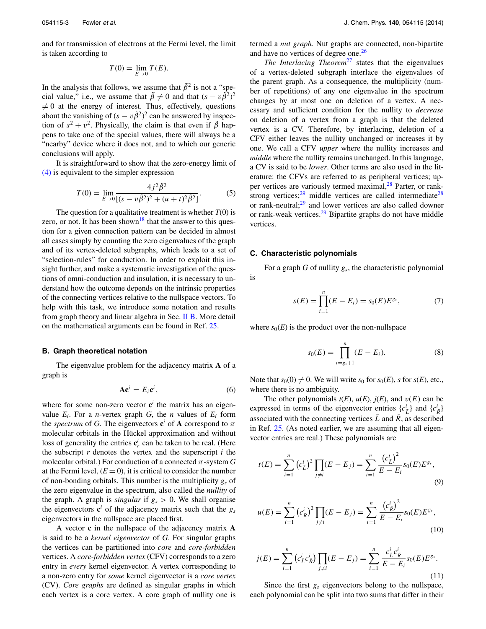and for transmission of electrons at the Fermi level, the limit is taken according to

$$
T(0) = \lim_{E \to 0} T(E).
$$

In the analysis that follows, we assume that  $\tilde{\beta}^2$  is not a "special value," i.e., we assume that  $\tilde{\beta} \neq 0$  and that  $(s - v\tilde{\beta}^2)^2$ - $\neq 0$  at the energy of interest. Thus, effectively, questions about the vanishing of  $(s - v\tilde{\beta}^2)^2$  can be answered by inspection of  $s^2 + v^2$ . Physically, the claim is that even if  $\tilde{\beta}$  happens to take one of the special values, there will always be a "nearby" device where it does not, and to which our generic conclusions will apply.

It is straightforward to show that the zero-energy limit of [\(4\)](#page-1-2) is equivalent to the simpler expression

<span id="page-2-1"></span>
$$
T(0) = \lim_{E \to 0} \frac{4j^2 \tilde{\beta}^2}{[(s - v\tilde{\beta}^2)^2 + (u + t)^2 \tilde{\beta}^2]}.
$$
 (5)

The question for a qualitative treatment is whether *T*(0) is zero, or not. It has been shown<sup>18</sup> that the answer to this question for a given connection pattern can be decided in almost all cases simply by counting the zero eigenvalues of the graph and of its vertex-deleted subgraphs, which leads to a set of "selection-rules" for conduction. In order to exploit this insight further, and make a systematic investigation of the questions of omni-conduction and insulation, it is necessary to understand how the outcome depends on the intrinsic properties of the connecting vertices relative to the nullspace vectors. To help with this task, we introduce some notation and results from graph theory and linear algebra in Sec. [II B.](#page-2-0) More detail on the mathematical arguments can be found in Ref. [25.](#page-11-16)

#### <span id="page-2-0"></span>**B. Graph theoretical notation**

The eigenvalue problem for the adjacency matrix **A** of a graph is

$$
A c^i = E_i c^i, \qquad (6)
$$

where for some non-zero vector  $c^i$  the matrix has an eigenvalue  $E_i$ . For a *n*-vertex graph  $G$ , the *n* values of  $E_i$  form the *spectrum* of *G*. The eigenvectors  $\mathbf{c}^i$  of **A** correspond to  $\pi$ molecular orbitals in the Hückel approximation and without loss of generality the entries  $\mathbf{c}_r^i$  can be taken to be real. (Here the subscript *r* denotes the vertex and the superscript *i* the molecular orbital.) For conduction of a connected *π*-system *G* at the Fermi level,  $(E = 0)$ , it is critical to consider the number of non-bonding orbitals. This number is the multiplicity *gs* of the zero eigenvalue in the spectrum, also called the *nullity* of the graph. A graph is *singular* if  $g_s > 0$ . We shall organise the eigenvectors  $c^i$  of the adjacency matrix such that the  $g_s$ eigenvectors in the nullspace are placed first.

A vector **c** in the nullspace of the adjacency matrix **A** is said to be a *kernel eigenvector* of *G*. For singular graphs the vertices can be partitioned into *core* and *core-forbidden* vertices. A *core-forbidden vertex* (CFV) corresponds to a zero entry in *every* kernel eigenvector. A vertex corresponding to a non-zero entry for *some* kernel eigenvector is a *core vertex* (CV). *Core graphs* are defined as singular graphs in which each vertex is a core vertex. A core graph of nullity one is termed a *nut graph*. Nut graphs are connected, non-bipartite and have no vertices of degree one.<sup>[26](#page-11-17)</sup>

*The Interlacing Theorem<sup>[27](#page-11-18)</sup>* states that the eigenvalues of a vertex-deleted subgraph interlace the eigenvalues of the parent graph. As a consequence, the multiplicity (number of repetitions) of any one eigenvalue in the spectrum changes by at most one on deletion of a vertex. A necessary and sufficient condition for the nullity to *decrease* on deletion of a vertex from a graph is that the deleted vertex is a CV. Therefore, by interlacing, deletion of a CFV either leaves the nullity unchanged or increases it by one. We call a CFV *upper* where the nullity increases and *middle* where the nullity remains unchanged. In this language, a CV is said to be *lower*. Other terms are also used in the literature: the CFVs are referred to as peripheral vertices; up-per vertices are variously termed maximal,<sup>[28](#page-11-19)</sup> Parter, or rank-strong vertices;<sup>[29](#page-11-20)</sup> middle vertices are called intermediate<sup>28</sup> or rank-neutral; $29$  and lower vertices are also called downer or rank-weak vertices[.29](#page-11-20) Bipartite graphs do not have middle vertices.

## **C. Characteristic polynomials**

For a graph *G* of nullity *gs*, the characteristic polynomial is

$$
s(E) = \prod_{i=1}^{n} (E - E_i) = s_0(E) E^{g_s},
$$
 (7)

where  $s_0(E)$  is the product over the non-nullspace

$$
s_0(E) = \prod_{i=g_s+1}^n (E - E_i).
$$
 (8)

Note that  $s_0(0) \neq 0$ . We will write  $s_0$  for  $s_0(E)$ , *s* for  $s(E)$ , etc., where there is no ambiguity.

The other polynomials  $t(E)$ ,  $u(E)$ ,  $j(E)$ , and  $v(E)$  can be expressed in terms of the eigenvector entries  $\{c^i_{\bar{L}}\}$  and  $\{c^i_{\bar{R}}\}$ associated with the connecting vertices  $\bar{L}$  and  $\bar{R}$ , as described in Ref. [25.](#page-11-16) (As noted earlier, we are assuming that all eigenvector entries are real.) These polynomials are

$$
t(E) = \sum_{i=1}^{n} (c_{\bar{L}}^{i})^{2} \prod_{j \neq i} (E - E_{j}) = \sum_{i=1}^{n} \frac{(c_{\bar{L}}^{i})^{2}}{E - E_{i}} s_{0}(E) E^{g_{s}},
$$
\n(9)

$$
u(E) = \sum_{i=1}^{n} \left( c_{\bar{R}}^{i} \right)^{2} \prod_{j \neq i} (E - E_{j}) = \sum_{i=1}^{n} \frac{\left( c_{\bar{R}}^{i} \right)^{2}}{E - E_{i}} s_{0}(E) E^{g_{s}},
$$
\n(10)

$$
j(E) = \sum_{i=1}^{n} \left( c_{\bar{L}}^{i} c_{\bar{R}}^{i} \right) \prod_{j \neq i} (E - E_{j}) = \sum_{i=1}^{n} \frac{c_{\bar{L}}^{i} c_{\bar{R}}^{i}}{E - E_{i}} s_{0}(E) E^{g_{s}}.
$$
\n(11)

Since the first  $g_s$  eigenvectors belong to the nullspace, each polynomial can be split into two sums that differ in their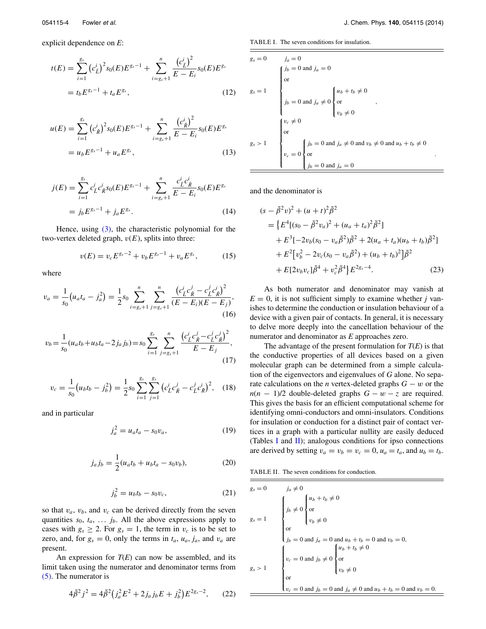explicit dependence on *E*:

$$
t(E) = \sum_{i=1}^{g_s} (c_L^i)^2 s_0(E) E^{g_s - 1} + \sum_{i=g_s+1}^n \frac{(c_L^i)^2}{E - E_i} s_0(E) E^{g_s}
$$
  
=  $t_b E^{g_s - 1} + t_a E^{g_s}$ , (12)

$$
u(E) = \sum_{i=1}^{g_s} (c_R^i)^2 s_0(E) E^{g_s - 1} + \sum_{i=g_s+1}^n \frac{(c_R^i)^2}{E - E_i} s_0(E) E^{g_s}
$$
  
=  $u_b E^{g_s - 1} + u_a E^{g_s},$  (13)

$$
j(E) = \sum_{i=1}^{g_s} c_{\bar{L}}^i c_{\bar{R}}^i s_0(E) E^{g_s - 1} + \sum_{i=g_s+1}^n \frac{c_{\bar{L}}^i c_{\bar{R}}^i}{E - E_i} s_0(E) E^{g_s}
$$
  
=  $j_b E^{g_s - 1} + j_a E^{g_s}$ . (14)

Hence, using  $(3)$ , the characteristic polynomial for the two-vertex deleted graph,  $v(E)$ , splits into three:

$$
v(E) = v_c E^{g_s - 2} + v_b E^{g_s - 1} + v_a E^{g_s}, \qquad (15)
$$

where

$$
v_a = \frac{1}{s_0} \left( u_a t_a - j_a^2 \right) = \frac{1}{2} s_0 \sum_{i = g_s + 1}^n \sum_{j = g_s + 1}^n \frac{\left( c_{\bar{L}}^i c_{\bar{R}}^j - c_{\bar{L}}^j c_{\bar{R}}^i \right)^2}{(E - E_i)(E - E_j)},\tag{16}
$$

$$
v_b = \frac{1}{s_0}(u_a t_b + u_b t_a - 2j_a j_b) = s_0 \sum_{i=1}^{s_s} \sum_{j=g_s+1}^n \frac{\left(c_L^i c_R^j - c_L^j c_R^j\right)^2}{E - E_j},\tag{17}
$$

$$
v_c = \frac{1}{s_0} \left( u_b t_b - j_b^2 \right) = \frac{1}{2} s_0 \sum_{i=1}^{g_s} \sum_{j=1}^{g_s} \left( c_L^i c_{\bar{R}}^j - c_L^j c_{\bar{R}}^i \right)^2, \quad (18)
$$

and in particular

$$
j_a^2 = u_a t_a - s_0 v_a, \t\t(19)
$$

$$
j_a j_b = \frac{1}{2} (u_a t_b + u_b t_a - s_0 v_b),
$$
 (20)

$$
j_b^2 = u_b t_b - s_0 v_c, \t\t(21)
$$

so that  $v_a$ ,  $v_b$ , and  $v_c$  can be derived directly from the seven quantities  $s_0$ ,  $t_a$ ,  $\ldots$   $j_b$ . All the above expressions apply to cases with  $g_s \geq 2$ . For  $g_s = 1$ , the term in  $v_c$  is to be set to zero, and, for  $g_s = 0$ , only the terms in  $t_a$ ,  $u_a$ ,  $j_a$ , and  $v_a$  are present.

An expression for  $T(E)$  can now be assembled, and its limit taken using the numerator and denominator terms from [\(5\).](#page-2-1) The numerator is

$$
4\tilde{\beta}^2 j^2 = 4\tilde{\beta}^2 \left(j_a^2 E^2 + 2j_a j_b E + j_b^2\right) E^{2g_s - 2},\qquad(22)
$$

<span id="page-3-0"></span>TABLE I. The seven conditions for insulation.

$$
g_s = 0
$$
\n
$$
j_a = 0
$$
\n
$$
g_s = 1
$$
\n
$$
\begin{cases}\nj_b = 0 \text{ and } j_a = 0 \\
\text{or} \\
j_b = 0 \text{ and } j_a \neq 0 \\
y_b = 0\n\end{cases}
$$
\n
$$
v_c \neq 0
$$
\n
$$
g_s > 1
$$
\n
$$
\begin{cases}\nv_c \neq 0 \\
\text{or} \\
v_c = 0\n\end{cases}
$$
\n
$$
y_b = 0 \text{ and } j_a \neq 0 \text{ and } v_b \neq 0 \text{ and } u_b + t_b \neq 0
$$
\n
$$
y_c = 0
$$
\n
$$
y_b = 0 \text{ and } j_a \neq 0 \text{ and } y_b \neq 0 \text{ and } u_b + t_b \neq 0
$$

and the denominator is

$$
(s - \tilde{\beta}^2 v)^2 + (u + t)^2 \tilde{\beta}^2
$$
  
=  $\{E^4[(s_0 - \tilde{\beta}^2 v_a)^2 + (u_a + t_a)^2 \tilde{\beta}^2]$   
+  $E^3[-2v_b(s_0 - v_a \tilde{\beta}^2)\tilde{\beta}^2 + 2(u_a + t_a)(u_b + t_b)\tilde{\beta}^2]$   
+  $E^2[v_b^2 - 2v_c(s_0 - v_a \tilde{\beta}^2) + (u_b + t_b)^2]\tilde{\beta}^2$   
+  $E[2v_b v_c]\tilde{\beta}^4 + v_c^2 \tilde{\beta}^4\}E^{2g_s-4}.$  (23)

As both numerator and denominator may vanish at  $E = 0$ , it is not sufficient simply to examine whether *j* vanishes to determine the conduction or insulation behaviour of a device with a given pair of contacts. In general, it is necessary to delve more deeply into the cancellation behaviour of the numerator and denominator as *E* approaches zero.

The advantage of the present formulation for *T*(*E*) is that the conductive properties of all devices based on a given molecular graph can be determined from a simple calculation of the eigenvectors and eigenvalues of *G* alone. No separate calculations on the *n* vertex-deleted graphs *G* − *w* or the  $n(n - 1)/2$  double-deleted graphs  $G - w - z$  are required. This gives the basis for an efficient computational scheme for identifying omni-conductors and omni-insulators. Conditions for insulation or conduction for a distinct pair of contact vertices in a graph with a particular nullity are easily deduced (Tables [I](#page-3-0) and [II\)](#page-3-1); analogous conditions for ipso connections are derived by setting  $v_a = v_b = v_c = 0$ ,  $u_a = t_a$ , and  $u_b = t_b$ .

<span id="page-3-1"></span>TABLE II. The seven conditions for conduction.

$$
g_s = 0
$$
\n
$$
j_a \neq 0
$$
\n
$$
g_s = 1
$$
\n
$$
\begin{cases}\nj_b \neq 0 \\
j_b \neq 0\n\end{cases}
$$
\n
$$
\begin{cases}\nu_b \neq 0 \\
j_b \neq 0\n\end{cases}
$$
\n
$$
\begin{cases}\nj_b \neq 0 \\
j_b \neq 0\n\end{cases}
$$
\n
$$
\begin{cases}\nj_b = 0 \text{ and } j_a = 0 \text{ and } u_b + t_b = 0 \text{ and } v_b = 0, \\
v_c = 0 \text{ and } j_b \neq 0\n\end{cases}
$$
\n
$$
g_s > 1
$$
\n
$$
\begin{cases}\nv_c = 0 \text{ and } j_b \neq 0 \\
v_b \neq 0\n\end{cases}
$$
\n
$$
\begin{cases}\nu_b \neq 0 \\
v_b \neq 0 \\
v_b \neq 0\n\end{cases}
$$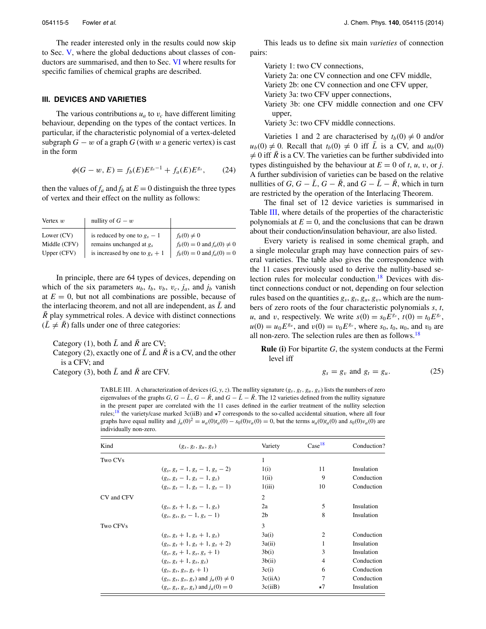The reader interested only in the results could now skip to Sec. [V,](#page-6-0) where the global deductions about classes of con-ductors are summarised, and then to Sec. [VI](#page-7-0) where results for specific families of chemical graphs are described.

# <span id="page-4-0"></span>**III. DEVICES AND VARIETIES**

The various contributions  $u_a$  to  $v_c$  have different limiting behaviour, depending on the types of the contact vertices. In particular, if the characteristic polynomial of a vertex-deleted subgraph  $G - w$  of a graph  $G$  (with  $w$  a generic vertex) is cast in the form

$$
\phi(G - w, E) = f_b(E)E^{g_s - 1} + f_a(E)E^{g_s}, \qquad (24)
$$

then the values of  $f_a$  and  $f_b$  at  $E = 0$  distinguish the three types of vertex and their effect on the nullity as follows:

| Vertex $w$   | nullity of $G - w$               |                                  |
|--------------|----------------------------------|----------------------------------|
| Lower $(CV)$ | is reduced by one to $g_s - 1$   | $f_b(0) \neq 0$                  |
| Middle (CFV) | remains unchanged at $g_s$       | $f_b(0) = 0$ and $f_a(0) \neq 0$ |
| Upper (CFV)  | is increased by one to $g_s + 1$ | $f_b(0) = 0$ and $f_a(0) = 0$    |

In principle, there are 64 types of devices, depending on which of the six parameters  $u_b$ ,  $t_b$ ,  $v_b$ ,  $v_c$ ,  $j_a$ , and  $j_b$  vanish at  $E = 0$ , but not all combinations are possible, because of the interlacing theorem, and not all are independent, as  $\bar{L}$  and *R* play symmetrical roles. A device with distinct connections  $(L \neq R)$  falls under one of three categories:

Category (1), both  $\bar{L}$  and  $\bar{R}$  are CV;

Category (2), exactly one of  $\overline{L}$  and  $\overline{R}$  is a CV, and the other is a CFV; and

<span id="page-4-1"></span>Category (3), both  $\overline{L}$  and  $\overline{R}$  are CFV.

This leads us to define six main *varieties* of connection pairs:

Variety 1: two CV connections, Variety 2a: one CV connection and one CFV middle, Variety 2b: one CV connection and one CFV upper, Variety 3a: two CFV upper connections,

Variety 3b: one CFV middle connection and one CFV upper,

Variety 3c: two CFV middle connections.

Varieties 1 and 2 are characterised by  $t_b(0) \neq 0$  and/or  $u_b(0) \neq 0$ . Recall that  $t_b(0) \neq 0$  iff  $\overline{L}$  is a CV, and  $u_b(0)$ - $\neq 0$  iff  $\overline{R}$  is a CV. The varieties can be further subdivided into types distinguished by the behaviour at  $E = 0$  of *t*, *u*, *v*, or *j*. A further subdivision of varieties can be based on the relative nullities of *G*,  $G - \bar{L}$ ,  $G - \bar{R}$ , and  $G - \bar{L} - \bar{R}$ , which in turn are restricted by the operation of the Interlacing Theorem.

The final set of 12 device varieties is summarised in Table [III,](#page-4-1) where details of the properties of the characteristic polynomials at  $E = 0$ , and the conclusions that can be drawn about their conduction/insulation behaviour, are also listed.

Every variety is realised in some chemical graph, and a single molecular graph may have connection pairs of several varieties. The table also gives the correspondence with the 11 cases previously used to derive the nullity-based selection rules for molecular conduction.<sup>18</sup> Devices with distinct connections conduct or not, depending on four selection rules based on the quantities  $g_s$ ,  $g_t$ ,  $g_u$ ,  $g_v$ , which are the numbers of zero roots of the four characteristic polynomials *s*, *t*, *u*, and *v*, respectively. We write  $s(0) = s_0 E^{g_s}$ ,  $t(0) = t_0 E^{g_t}$ ,  $u(0) = u_0 E^{g_u}$ , and  $v(0) = v_0 E^{g_v}$ , where  $s_0$ ,  $t_0$ ,  $u_0$ , and  $v_0$  are all non-zero. The selection rules are then as follows.[18](#page-11-8)

**Rule (i)** For bipartite *G*, the system conducts at the Fermi level iff

$$
g_s = g_v \text{ and } g_t = g_u. \tag{25}
$$

TABLE III. A characterization of devices  $(G, y, z)$ . The nullity signature  $(g_s, g_t, g_u, g_v)$  lists the numbers of zero eigenvalues of the graphs *G*,  $G - \overline{L}$ ,  $G - \overline{R}$ , and  $G - \overline{L} - \overline{R}$ . The 12 varieties defined from the nullity signature in the present paper are correlated with the 11 cases defined in the earlier treatment of the nullity selection rules;<sup>18</sup> the variety/case marked 3c(iiB) and  $\star$ 7 corresponds to the so-called accidental situation, where all four graphs have equal nullity and  $j_a(0)^2 = u_a(0)t_a(0) - s_0(0)v_a(0) = 0$ , but the terms  $u_a(0)t_a(0)$  and  $s_0(0)v_a(0)$  are individually non-zero.

| Kind       | $(g_s, g_t, g_u, g_v)$                     | Variety        | Case <sup>18</sup> | Conduction? |
|------------|--------------------------------------------|----------------|--------------------|-------------|
| Two CVs    |                                            | 1              |                    |             |
|            | $(g_s, g_s - 1, g_s - 1, g_s - 2)$         | 1(i)           | 11                 | Insulation  |
|            | $(g_s, g_s - 1, g_s - 1, g_s)$             | 1(ii)          | 9                  | Conduction  |
|            | $(g_s, g_s - 1, g_s - 1, g_s - 1)$         | 1(iii)         | 10                 | Conduction  |
| CV and CFV |                                            | $\overline{2}$ |                    |             |
|            | $(g_s, g_s + 1, g_s - 1, g_s)$             | 2a             | 5                  | Insulation  |
|            | $(g_s, g_s, g_s - 1, g_s - 1)$             | 2 <sub>b</sub> | 8                  | Insulation  |
| Two CFVs   |                                            | 3              |                    |             |
|            | $(g_s, g_s + 1, g_s + 1, g_s)$             | 3a(i)          | $\overline{2}$     | Conduction  |
|            | $(g_s, g_s + 1, g_s + 1, g_s + 2)$         | 3a(ii)         | 1                  | Insulation  |
|            | $(g_s, g_s + 1, g_s, g_s + 1)$             | 3b(i)          | 3                  | Insulation  |
|            | $(g_s, g_s + 1, g_s, g_s)$                 | 3b(ii)         | 4                  | Conduction  |
|            | $(g_s, g_s, g_s, g_s + 1)$                 | 3c(i)          | 6                  | Conduction  |
|            | $(g_s, g_s, g_s, g_s)$ and $i_a(0) \neq 0$ | 3c(iiA)        | 7                  | Conduction  |
|            | $(g_s, g_s, g_s, g_s)$ and $j_a(0) = 0$    | 3c(iiB)        | $\star$ 7          | Insulation  |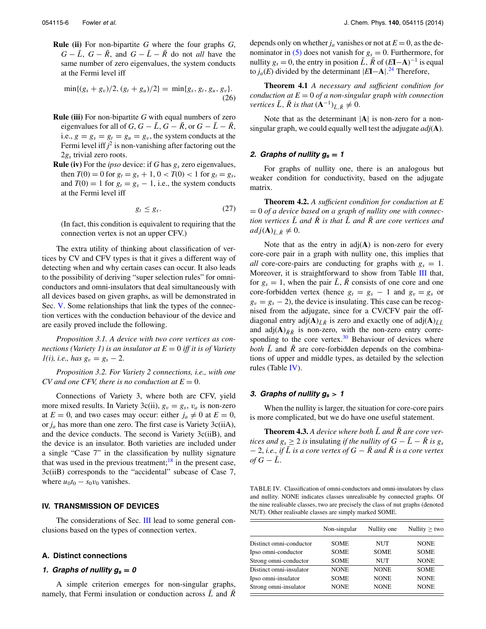**Rule (ii)** For non-bipartite *G* where the four graphs *G*,  $G - \bar{L}$ ,  $G - \bar{R}$ , and  $G - \bar{L} - \bar{R}$  do not *all* have the same number of zero eigenvalues, the system conducts at the Fermi level iff

$$
\min\{(g_s+g_v)/2,(g_t+g_u)/2\}=\min\{g_s,g_t,g_u,g_v\}.
$$
\n(26)

- **Rule (iii)** For non-bipartite *G* with equal numbers of zero eigenvalues for all of *G*,  $G - \overline{L}$ ,  $G - \overline{R}$ , or  $G - \overline{L} - \overline{R}$ , i.e.,  $g = g_s = g_t = g_u = g_v$ , the system conducts at the Fermi level iff  $j^2$  is non-vanishing after factoring out the 2*gs* trivial zero roots.
- **Rule (iv)** For the *ipso* device: if *G* has *gs* zero eigenvalues, then  $T(0) = 0$  for  $g_t = g_s + 1$ ,  $0 < T(0) < 1$  for  $g_t = g_s$ , and  $T(0) = 1$  for  $g_t = g_s - 1$ , i.e., the system conducts at the Fermi level iff

$$
g_t \le g_s. \tag{27}
$$

(In fact, this condition is equivalent to requiring that the connection vertex is not an upper CFV.)

The extra utility of thinking about classification of vertices by CV and CFV types is that it gives a different way of detecting when and why certain cases can occur. It also leads to the possibility of deriving "super selection rules" for omniconductors and omni-insulators that deal simultaneously with all devices based on given graphs, as will be demonstrated in Sec. [V.](#page-6-0) Some relationships that link the types of the connection vertices with the conduction behaviour of the device and are easily proved include the following.

*Proposition 3.1. A device with two core vertices as connections (Variety 1) is an insulator at E* = 0 *iff it is of Variety*  $1(i)$ *, i.e., has*  $g_v = g_s - 2$ .

*Proposition 3.2. For Variety 2 connections, i.e., with one*  $CV$  and one CFV, there is no conduction at  $E = 0$ .

Connections of Variety 3, where both are CFV, yield more mixed results. In Variety 3c(ii),  $g_v = g_s$ ,  $v_a$  is non-zero at  $E = 0$ , and two cases may occur: either  $j_a \neq 0$  at  $E = 0$ , or *ja* has more than one zero. The first case is Variety 3c(iiA), and the device conducts. The second is Variety 3c(iiB), and the device is an insulator. Both varieties are included under a single "Case 7" in the classification by nullity signature that was used in the previous treatment;<sup>[18](#page-11-8)</sup> in the present case, 3c(iiB) corresponds to the "accidental" subcase of Case 7, where  $u_0t_0 - s_0v_0$  vanishes.

# <span id="page-5-0"></span>**IV. TRANSMISSION OF DEVICES**

The considerations of Sec. [III](#page-4-0) lead to some general conclusions based on the types of connection vertex.

# <span id="page-5-2"></span>**A. Distinct connections**

#### **1.** Graphs of nullity  $g_s = 0$

A simple criterion emerges for non-singular graphs, namely, that Fermi insulation or conduction across  $\bar{L}$  and  $\bar{R}$  depends only on whether  $j_a$  vanishes or not at  $E = 0$ , as the denominator in  $(5)$  does not vanish for  $g_s = 0$ . Furthermore, for nullity  $g_s = 0$ , the entry in position  $\overline{L}$ ,  $\overline{R}$  of  $(EI-A)^{-1}$  is equal to *ja*(*E*) divided by the determinant |*E***I**−**A**|. [24](#page-11-15) Therefore,

**Theorem 4.1** *A necessary and sufficient condition for conduction at E* = 0 *of a non-singular graph with connection vertices*  $\bar{L}$ *,*  $\bar{R}$  *is that*  $(\mathbf{A}^{-1})_{\bar{L},\bar{R}} \neq 0$ *.* 

Note that as the determinant |**A**| is non-zero for a nonsingular graph, we could equally well test the adjugate *adj*(**A**).

#### **2.** Graphs of nullity  $g_s = 1$

For graphs of nullity one, there is an analogous but weaker condition for conductivity, based on the adjugate matrix.

**Theorem 4.2.** *A sufficient condition for conduction at E* = 0 *of a device based on a graph of nullity one with connection vertices*  $\overline{L}$  *and*  $\overline{R}$  *is that*  $\overline{L}$  *and*  $\overline{R}$  *are core vertices and*  $adj(\mathbf{A})_{\bar{L},\bar{R}} \neq 0.$ 

Note that as the entry in  $adj(A)$  is non-zero for every core-core pair in a graph with nullity one, this implies that *all* core-core-pairs are conducting for graphs with  $g_s = 1$ . Moreover, it is straightforward to show from Table [III](#page-4-1) that, for  $g_s = 1$ , when the pair  $\overline{L}$ ,  $\overline{R}$  consists of one core and one core-forbidden vertex (hence  $g_t = g_s - 1$  and  $g_v = g_s$  or  $g_v = g_s - 2$ ), the device is insulating. This case can be recognised from the adjugate, since for a CV/CFV pair the offdiagonal entry adj $(A)_{\bar{L}\bar{R}}$  is zero and exactly one of adj $(A)_{\bar{L}\bar{L}}$ and adj $(A)_{\bar{R}\bar{R}}$  is non-zero, with the non-zero entry corresponding to the core vertex. $30$  Behaviour of devices where *both*  $\overline{L}$  and  $\overline{R}$  are core-forbidden depends on the combinations of upper and middle types, as detailed by the selection rules (Table [IV\)](#page-5-1).

# 3. Graphs of nullity  $g_s > 1$

When the nullity is larger, the situation for core-core pairs is more complicated, but we do have one useful statement.

**Theorem 4.3.** A device where both  $\overline{L}$  and  $\overline{R}$  are core ver*tices and*  $g_s \geq 2$  *is* insulating *if the nullity of*  $G - \overline{L} - \overline{R}$  *is*  $g_s$  $-2$ , *i.e., if*  $\overline{L}$  *is a core vertex of*  $G - \overline{R}$  *and*  $\overline{R}$  *is a core vertex*  $of G - \bar{L}$ .

<span id="page-5-1"></span>TABLE IV. Classification of omni-conductors and omni-insulators by class and nullity. NONE indicates classes unrealisable by connected graphs. Of the nine realisable classes, two are precisely the class of nut graphs (denoted NUT). Other realisable classes are simply marked SOME.

|                         | Non-singular | Nullity one | Nullity $\geq$ two |
|-------------------------|--------------|-------------|--------------------|
| Distinct omni-conductor | <b>SOME</b>  | NUT         | <b>NONE</b>        |
| Ipso omni-conductor     | <b>SOME</b>  | <b>SOME</b> | <b>SOME</b>        |
| Strong omni-conductor   | <b>SOME</b>  | NUT         | <b>NONE</b>        |
| Distinct omni-insulator | <b>NONE</b>  | <b>NONE</b> | <b>SOME</b>        |
| Ipso omni-insulator     | <b>SOME</b>  | <b>NONE</b> | <b>NONE</b>        |
| Strong omni-insulator   | <b>NONE</b>  | <b>NONE</b> | <b>NONE</b>        |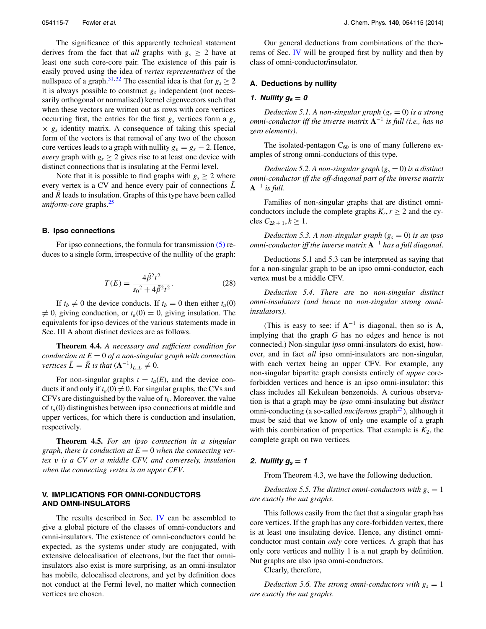The significance of this apparently technical statement derives from the fact that *all* graphs with  $g_s \geq 2$  have at least one such core-core pair. The existence of this pair is easily proved using the idea of *vertex representatives* of the nullspace of a graph.<sup>[31,](#page-11-22) [32](#page-11-23)</sup> The essential idea is that for  $g_s \ge 2$ it is always possible to construct *gs* independent (not necessarily orthogonal or normalised) kernel eigenvectors such that when these vectors are written out as rows with core vertices occurring first, the entries for the first *gs* vertices form a *gs*  $\times$   $g_s$  identity matrix. A consequence of taking this special form of the vectors is that removal of any two of the chosen core vertices leads to a graph with nullity  $g_v = g_s - 2$ . Hence, *every* graph with  $g_s \geq 2$  gives rise to at least one device with distinct connections that is insulating at the Fermi level.

Note that it is possible to find graphs with  $g_s > 2$  where every vertex is a CV and hence every pair of connections *L*¯ and  $\overline{R}$  leads to insulation. Graphs of this type have been called *uniform-core* graphs.[25](#page-11-16)

#### <span id="page-6-1"></span>**B. Ipso connections**

For ipso connections, the formula for transmission [\(5\)](#page-2-1) reduces to a single form, irrespective of the nullity of the graph:

$$
T(E) = \frac{4\tilde{\beta}^2 t^2}{s_0^2 + 4\tilde{\beta}^2 t^2}.
$$
 (28)

If  $t_b \neq 0$  the device conducts. If  $t_b = 0$  then either  $t_a(0)$ - $\neq$  0, giving conduction, or  $t_a$ (0) = 0, giving insulation. The equivalents for ipso devices of the various statements made in Sec. III A about distinct devices are as follows.

**Theorem 4.4.** *A necessary and sufficient condition for conduction at E* = 0 *of a non-singular graph with connection vertices*  $\bar{L} = \bar{R}$  *is that*  $(\mathbf{A}^{-1})_{\bar{L},\bar{L}} \neq 0$ *.* 

For non-singular graphs  $t = t_a(E)$ , and the device conducts if and only if  $t_a(0) \neq 0$ . For singular graphs, the CVs and CFVs are distinguished by the value of  $t_b$ . Moreover, the value of *ta*(0) distinguishes between ipso connections at middle and upper vertices, for which there is conduction and insulation, respectively.

**Theorem 4.5.** *For an ipso connection in a singular graph, there is conduction at*  $E = 0$  *when the connecting vertex v is a CV or a middle CFV, and conversely, insulation when the connecting vertex is an upper CFV*.

# <span id="page-6-0"></span>**V. IMPLICATIONS FOR OMNI-CONDUCTORS AND OMNI-INSULATORS**

The results described in Sec. [IV](#page-5-0) can be assembled to give a global picture of the classes of omni-conductors and omni-insulators. The existence of omni-conductors could be expected, as the systems under study are conjugated, with extensive delocalisation of electrons, but the fact that omniinsulators also exist is more surprising, as an omni-insulator has mobile, delocalised electrons, and yet by definition does not conduct at the Fermi level, no matter which connection vertices are chosen.

Our general deductions from combinations of the theorems of Sec. [IV](#page-5-0) will be grouped first by nullity and then by class of omni-conductor/insulator.

# **A. Deductions by nullity**

# **1.** *Nullity*  $g_s = 0$

*Deduction 5.1. A non-singular graph*  $(g_s = 0)$  *is a strong omni-conductor iff the inverse matrix* **A**<sup>−</sup><sup>1</sup> *is full (i.e., has no zero elements)*.

The isolated-pentagon  $C_{60}$  is one of many fullerene examples of strong omni-conductors of this type.

*Deduction 5.2. A non-singular graph*  $(g_s = 0)$  *is a distinct omni-conductor iff the off-diagonal part of the inverse matrix*  $A^{-1}$  *is full.* 

Families of non-singular graphs that are distinct omniconductors include the complete graphs  $K_r$ ,  $r \geq 2$  and the cy $c$ les  $C_{2k+1}, k \ge 1$ .

*Deduction 5.3. A non-singular graph*  $(g_s = 0)$  *is an ipso omni-conductor iff the inverse matrix* **A**−<sup>1</sup> *has a full diagonal*.

Deductions 5.1 and 5.3 can be interpreted as saying that for a non-singular graph to be an ipso omni-conductor, each vertex must be a middle CFV.

*Deduction 5.4. There are* no *non-singular distinct omni-insulators (and hence* no *non-singular strong omniinsulators)*.

(This is easy to see: if  $A^{-1}$  is diagonal, then so is A, implying that the graph *G* has no edges and hence is not connected.) Non-singular *ipso* omni-insulators do exist, however, and in fact *all* ipso omni-insulators are non-singular, with each vertex being an upper CFV. For example, any non-singular bipartite graph consists entirely of *upper* coreforbidden vertices and hence is an ipso omni-insulator: this class includes all Kekulean benzenoids. A curious observation is that a graph may be *ipso* omni-insulating but *distinct* omni-conducting (a so-called *nuciferous* graph<sup>25</sup>), although it must be said that we know of only one example of a graph with this combination of properties. That example is  $K_2$ , the complete graph on two vertices.

#### **2.** *Nullity*  $g_s = 1$

From Theorem 4.3, we have the following deduction.

*Deduction 5.5. The distinct omni-conductors with*  $g_s = 1$ *are exactly the nut graphs*.

This follows easily from the fact that a singular graph has core vertices. If the graph has any core-forbidden vertex, there is at least one insulating device. Hence, any distinct omniconductor must contain *only* core vertices. A graph that has only core vertices and nullity 1 is a nut graph by definition. Nut graphs are also ipso omni-conductors.

Clearly, therefore,

*Deduction 5.6. The strong omni-conductors with*  $g_s = 1$ *are exactly the nut graphs*.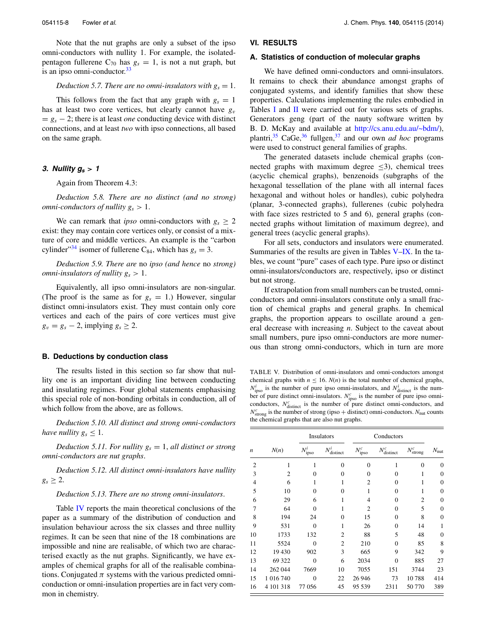Note that the nut graphs are only a subset of the ipso omni-conductors with nullity 1. For example, the isolatedpentagon fullerene  $C_{70}$  has  $g_s = 1$ , is not a nut graph, but is an ipso omni-conductor. $33$ 

#### *Deduction 5.7. There are no omni-insulators with*  $g_s = 1$ *.*

This follows from the fact that any graph with  $g_s = 1$ has at least two core vertices, but clearly cannot have  $g_v$  $= g<sub>s</sub> - 2$ ; there is at least *one* conducting device with distinct connections, and at least *two* with ipso connections, all based on the same graph.

# **3.** *Nullity*  $g_s > 1$

Again from Theorem 4.3:

*Deduction 5.8. There are no distinct (and no strong) omni-conductors of nullity*  $g_s > 1$ *.* 

We can remark that *ipso* omni-conductors with  $g_s \geq 2$ exist: they may contain core vertices only, or consist of a mixture of core and middle vertices. An example is the "carbon cylinder<sup>34</sup> isomer of fullerene C<sub>84</sub>, which has  $g_s = 3$ .

*Deduction 5.9. There are* no *ipso (and hence* no *strong) omni-insulators of nullity*  $g_s > 1$ *.* 

Equivalently, all ipso omni-insulators are non-singular. (The proof is the same as for  $g_s = 1$ .) However, singular distinct omni-insulators exist. They must contain only core vertices and each of the pairs of core vertices must give  $g_v = g_s - 2$ , implying  $g_s \geq 2$ .

## **B. Deductions by conduction class**

The results listed in this section so far show that nullity one is an important dividing line between conducting and insulating regimes. Four global statements emphasising this special role of non-bonding orbitals in conduction, all of which follow from the above, are as follows.

*Deduction 5.10. All distinct and strong omni-conductors have nullity*  $g_s \leq 1$ .

*Deduction 5.11. For nullity*  $g_s = 1$ *, all distinct or strong omni-conductors are nut graphs*.

*Deduction 5.12. All distinct omni-insulators have nullity*  $g_s \geq 2$ .

*Deduction 5.13. There are no strong omni-insulators*.

Table [IV](#page-5-1) reports the main theoretical conclusions of the paper as a summary of the distribution of conduction and insulation behaviour across the six classes and three nullity regimes. It can be seen that nine of the 18 combinations are impossible and nine are realisable, of which two are characterised exactly as the nut graphs. Significantly, we have examples of chemical graphs for all of the realisable combinations. Conjugated  $\pi$  systems with the various predicted omniconduction or omni-insulation properties are in fact very common in chemistry.

#### <span id="page-7-2"></span><span id="page-7-0"></span>**VI. RESULTS**

#### **A. Statistics of conduction of molecular graphs**

We have defined omni-conductors and omni-insulators. It remains to check their abundance amongst graphs of conjugated systems, and identify families that show these properties. Calculations implementing the rules embodied in Tables [I](#page-3-0) and [II](#page-3-1) were carried out for various sets of graphs. Generators geng (part of the nauty software written by B. D. McKay and available at [http://cs.anu.edu.au/~bdm/\)](http://cs.anu.edu.au/~bdm/), plantri,<sup>35</sup> CaGe,<sup>[36](#page-11-27)</sup> fullgen,<sup>[37](#page-11-28)</sup> and our own *ad hoc* programs were used to construct general families of graphs.

The generated datasets include chemical graphs (connected graphs with maximum degree  $\leq$ 3), chemical trees (acyclic chemical graphs), benzenoids (subgraphs of the hexagonal tessellation of the plane with all internal faces hexagonal and without holes or handles), cubic polyhedra (planar, 3-connected graphs), fullerenes (cubic polyhedra with face sizes restricted to 5 and 6), general graphs (connected graphs without limitation of maximum degree), and general trees (acyclic general graphs).

For all sets, conductors and insulators were enumerated. Summaries of the results are given in Tables [V](#page-7-1)[–IX.](#page-8-0) In the tables, we count "pure" cases of each type. Pure ipso or distinct omni-insulators/conductors are, respectively, ipso or distinct but not strong.

If extrapolation from small numbers can be trusted, omniconductors and omni-insulators constitute only a small fraction of chemical graphs and general graphs. In chemical graphs, the proportion appears to oscillate around a general decrease with increasing *n*. Subject to the caveat about small numbers, pure ipso omni-conductors are more numerous than strong omni-conductors, which in turn are more

<span id="page-7-1"></span>TABLE V. Distribution of omni-insulators and omni-conductors amongst chemical graphs with  $n \leq 16$ .  $N(n)$  is the total number of chemical graphs,  $N_{\text{ipso}}^i$  is the number of pure ipso omni-insulators, and  $N_{\text{distinct}}^i$  is the number of pure distinct omni-insulators.  $N_{\text{ipso}}^c$  is the number of pure ipso omni-conductors,  $N_{\text{distinct}}^c$  is the number of pure distinct omni-conductors, and  $N_{\text{strong}}^c$  is the number of strong (ipso  $+$  distinct) omni-conductors.  $N_{\text{nut}}$  counts the chemical graphs that are also nut graphs.

|                  |                |                  | Insulators              |                  | Conductors              |                       |                |
|------------------|----------------|------------------|-------------------------|------------------|-------------------------|-----------------------|----------------|
| $\boldsymbol{n}$ | N(n)           | $N^i_{\rm ipso}$ | $N_{\text{distinct}}^i$ | $N_{\rm ipso}^c$ | $N_{\text{distinct}}^c$ | $N_{\text{strong}}^c$ | $N_{\rm nut}$  |
| $\overline{2}$   | 1              | 1                | $\overline{0}$          | $\overline{0}$   | 1                       | $\Omega$              | 0              |
| 3                | $\overline{2}$ | $\theta$         | $\overline{0}$          | $\overline{0}$   | $\overline{0}$          | 1                     | 0              |
| $\overline{4}$   | 6              | 1                | 1                       | $\overline{2}$   | $\overline{0}$          | 1                     | $\overline{0}$ |
| 5                | 10             | $\theta$         | $\overline{0}$          | 1                | $\overline{0}$          | 1                     | $\overline{0}$ |
| 6                | 29             | 6                | 1                       | 4                | $\theta$                | 2                     | $\overline{0}$ |
| 7                | 64             | $\Omega$         | 1                       | $\overline{2}$   | $\theta$                | 5                     | $\overline{0}$ |
| 8                | 194            | 24               | $\theta$                | 15               | $\theta$                | 8                     | $\overline{0}$ |
| 9                | 531            | $\theta$         | 1                       | 26               | $\overline{0}$          | 14                    | 1              |
| 10               | 1733           | 132              | $\overline{c}$          | 88               | 5                       | 48                    | $\overline{0}$ |
| 11               | 5524           | $\theta$         | $\overline{2}$          | 210              | $\theta$                | 85                    | 8              |
| 12               | 19 430         | 902              | 3                       | 665              | 9                       | 342                   | 9              |
| 13               | 69 322         | $\theta$         | 6                       | 2034             | $\theta$                | 885                   | 27             |
| 14               | 262 044        | 7669             | 10                      | 7055             | 151                     | 3744                  | 23             |
| 15               | 1 016 740      | $\theta$         | 22                      | 26 94 6          | 73                      | 10788                 | 414            |
| 16               | 4 101 318      | 77 056           | 45                      | 95 539           | 2311                    | 50 770                | 389            |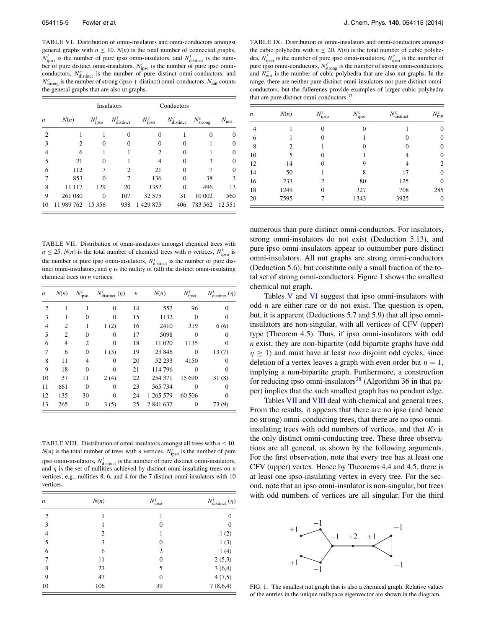<span id="page-8-2"></span>TABLE VI. Distribution of omni-insulators and omni-conductors amongst general graphs with  $n \leq 10$ .  $N(n)$  is the total number of connected graphs,  $N_{\text{ipso}}^i$  is the number of pure ipso omni-insulators, and  $N_{\text{distinct}}^i$  is the number of pure distinct omni-insulators.  $N_{\text{ipso}}^c$  is the number of pure ipso omni-<br>conductors,  $N_{\text{distinct}}^c$  is the number of pure distinct omni-conductors, and  $N_{\text{strong}}^c$  is the number of strong (ipso + distinct) omni-conductors.  $N_{\text{nut}}$  counts the general graphs that are also ut graphs.

|                  |            |                     | Insulators        |                  | Conductors          |                       |               |
|------------------|------------|---------------------|-------------------|------------------|---------------------|-----------------------|---------------|
| $\boldsymbol{n}$ | N(n)       | $N^{\iota}$<br>ipso | $N^i$<br>distinct | $N_{\rm ipso}^c$ | $N_r^c$<br>distinct | $N_{\text{strong}}^c$ | $N_{\rm nut}$ |
| 2                |            |                     | $\Omega$          | 0                |                     |                       | $\Omega$      |
| 3                | 2          | 0                   | 0                 | 0                | 0                   |                       | 0             |
| 4                | 6          |                     |                   | 2                | $\theta$            |                       | $\Omega$      |
| 5                | 21         | 0                   |                   |                  | $\Omega$            | 3                     | 0             |
| 6                | 112        | 7                   | 2                 | 21               | $\Omega$            | 7                     | $\theta$      |
|                  | 853        | 0                   |                   | 136              | $\Omega$            | 38                    | 3             |
| 8                | 117<br>11  | 129                 | 20                | 1352             | $\Omega$            | 496                   | 13            |
| 9                | 261 080    | $\Omega$            | 107               | 32 575           | 31                  | 10 002                | 560           |
| 10               | 11 989 762 | 15 3 5 6            | 938               | 1429875          | 406                 | 783 562               | 12 5 5 1      |

<span id="page-8-3"></span>TABLE VII. Distribution of omni-insulators amongst chemical trees with  $n \le 25$ . *N*(*n*) is the total number of chemical trees with *n* vertices,  $N_{\text{ipso}}^i$  is the number of pure ipso omni-insulators,  $N_{\text{distinct}}^i$  is the number of pure distinct omni-insulators, and  $\eta$  is the nullity of (all) the distinct omni-insulating chemical trees on *n* vertices.

| $\boldsymbol{n}$ | N(n)           | $N_{\text{ipso}}^i$ | $N^i_{\text{distinct}}(\eta)$ | $\boldsymbol{n}$ | N(n)      | $N_{\rm ipso}^i$ | $N_{\text{distinct}}^i(\eta)$ |
|------------------|----------------|---------------------|-------------------------------|------------------|-----------|------------------|-------------------------------|
| $\overline{2}$   |                |                     | $\Omega$                      | 14               | 552       | 96               | $\Omega$                      |
| 3                | 1              | 0                   | 0                             | 15               | 1132      | $\Omega$         | 0                             |
| $\overline{4}$   | $\overline{c}$ | 1                   | 1(2)                          | 16               | 2410      | 319              | 6(6)                          |
| 5                | $\overline{c}$ | $\Omega$            | 0                             | 17               | 5098      | 0                | 0                             |
| 6                | 4              | 2                   | 0                             | 18               | 11 020    | 1135             | 0                             |
| 7                | 6              | $\theta$            | 1(3)                          | 19               | 23 846    | $\theta$         | 13(7)                         |
| 8                | 11             | 4                   | $\Omega$                      | 20               | 52 233    | 4150             | 0                             |
| 9                | 18             | $\Omega$            | 0                             | 21               | 114 796   | 0                | 0                             |
| 10               | 37             | 11                  | 2(4)                          | 22               | 254 371   | 15 690           | 31(8)                         |
| 11               | 661            | $\theta$            | 0                             | 23               | 565 734   | 0                | 0                             |
| 12               | 135            | 30                  | 0                             | 24               | 1 265 579 | 60 50 6          | 0                             |
| 13               | 265            | $\overline{0}$      | 3(5)                          | 25               | 2 841 632 | 0                | 73 (9)                        |

<span id="page-8-4"></span>TABLE VIII. Distribution of omni-insulators amongst all trees with  $n \leq 10$ . *N*(*n*) is the total number of trees with *n* vertices,  $N_{\text{ipso}}^i$  is the number of pure ipso omni-insulators,  $N_{\text{distinct}}^i$  is the number of pure distinct omni-insulators, and *η* is the set of nullities achieved by distinct omni-insulating trees on *n* vertices, e.g., nullities 8, 6, and 4 for the 7 distinct omni-insulators with 10 vertices.

| n               | N(n) | $N_{\rm ipso}^i$ | $N_{\text{distinct}}^i(\eta)$ |
|-----------------|------|------------------|-------------------------------|
| 2               |      |                  | 0                             |
| 3               |      | $\overline{0}$   | $\theta$                      |
| $\overline{4}$  | 2    |                  | 1(2)                          |
| 5               | 3    | $\overline{0}$   | 1(3)                          |
| 6               | 6    | 2                | 1(4)                          |
| $7\phantom{.0}$ | 11   | $\overline{0}$   | 2(5,3)                        |
| 8               | 23   | 5                | 3(6,4)                        |
| 9               | 47   | $\overline{0}$   | 4(7,5)                        |
| 10              | 106  | 39               | 7(8,6,4)                      |

<span id="page-8-0"></span>TABLE IX. Distribution of omni-insulators and omni-conductors amongst the cubic polyhedra with  $n \leq 20$ .  $N(n)$  is the total number of cubic polyhedra,  $N_{\text{ipso}}^i$  is the number of pure ipso omni-insulators,  $N_{\text{ipso}}^c$  is the number of pure ipso omni-conductors,  $N^c_{\text{strong}}$  is the number of strong omni-conductors, and  $N<sub>nut</sub><sup>c</sup>$  is the number of cubic polyhedra that are also nut graphs. In the range, there are neither pure distinct omni-insulators nor pure distinct omniconductors, but the fullerenes provide examples of larger cubic polyhedra that are pure distinct omni-conductors.<sup>33</sup>

| $N_{\rm nut}^c$  | $N_{\text{distinct}}^c$ | $N_{\rm ipso}^c$ | $N^{\iota}$<br>ipso | N(n) | n  |
|------------------|-------------------------|------------------|---------------------|------|----|
| $\boldsymbol{0}$ |                         | $\Omega$         | $\Omega$            |      | 4  |
| $\overline{0}$   | $\Omega$                |                  | $\Omega$            |      | 6  |
| $\overline{0}$   | 0                       | $\Omega$         |                     | 2    | 8  |
| $\overline{0}$   | 4                       |                  | $\theta$            | 5    | 10 |
| 2                | 4                       | 9                | $\Omega$            | 14   | 12 |
| $\overline{0}$   | 17                      | 8                |                     | 50   | 14 |
| $\overline{0}$   | 125                     | 80               | $\overline{c}$      | 233  | 16 |
| 285              | 708                     | 327              | $\theta$            | 1249 | 18 |
| $\overline{0}$   | 3925                    | 1343             |                     | 7595 | 20 |

numerous than pure distinct omni-conductors. For insulators, strong omni-insulators do not exist (Deduction 5.13), and pure ipso omni-insulators appear to outnumber pure distinct omni-insulators. All nut graphs are strong omni-conductors (Deduction 5.6), but constitute only a small fraction of the total set of strong omni-conductors. Figure [1](#page-8-1) shows the smallest chemical nut graph.

Tables [V](#page-7-1) and [VI](#page-8-2) suggest that ipso omni-insulators with odd *n* are either rare or do not exist. The question is open, but, it is apparent (Deductions 5.7 and 5.9) that all ipso omniinsulators are non-singular, with all vertices of CFV (upper) type (Theorem 4.5). Thus, if ipso omni-insulators with odd *n* exist, they are non-bipartite (odd bipartite graphs have odd  $n \geq 1$ ) and must have at least *two* disjoint odd cycles, since deletion of a vertex leaves a graph with even order but  $\eta = 1$ , implying a non-bipartite graph. Furthermore, a construction for reducing ipso omni-insulators<sup>[38](#page-11-29)</sup> (Algorithm 36 in that paper) implies that the such smallest graph has no pendant edge.

Tables [VII](#page-8-3) and [VIII](#page-8-4) deal with chemical and general trees. From the results, it appears that there are no ipso (and hence no strong) omni-conducting trees, that there are no ipso omniinsulating trees with odd numbers of vertices, and that  $K_2$  is the only distinct omni-conducting tree. These three observations are all general, as shown by the following arguments. For the first observation, note that every tree has at least one CFV (upper) vertex. Hence by Theorems 4.4 and 4.5, there is at least one ipso-insulating vertex in every tree. For the second, note that an ipso omni-insulator is non-singular, but trees with odd numbers of vertices are all singular. For the third

<span id="page-8-1"></span>

FIG. 1. The smallest nut graph that is also a chemical graph. Relative values of the entries in the unique nullspace eigenvector are shown in the diagram.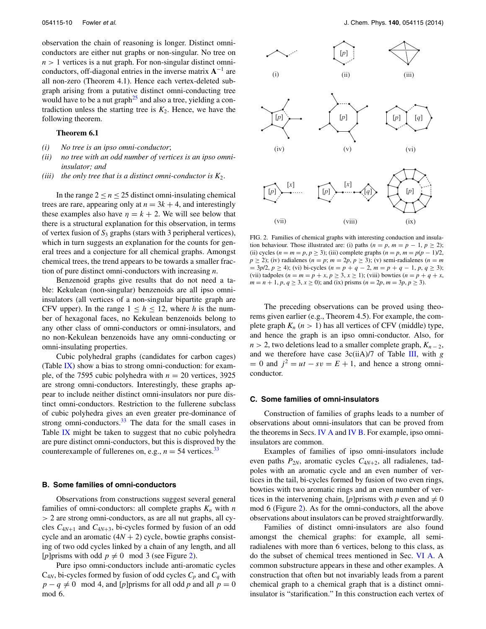observation the chain of reasoning is longer. Distinct omniconductors are either nut graphs or non-singular. No tree on  $n > 1$  vertices is a nut graph. For non-singular distinct omniconductors, off-diagonal entries in the inverse matrix **A**<sup>−</sup><sup>1</sup> are all non-zero (Theorem 4.1). Hence each vertex-deleted subgraph arising from a putative distinct omni-conducting tree would have to be a nut graph<sup>25</sup> and also a tree, yielding a contradiction unless the starting tree is  $K_2$ . Hence, we have the following theorem.

#### **Theorem 6.1**

- *(i) No tree is an ipso omni-conductor*;
- *(ii) no tree with an odd number of vertices is an ipso omniinsulator; and*
- *(iii)* the only tree that is a distinct omni-conductor is  $K_2$ .

In the range  $2 \le n \le 25$  distinct omni-insulating chemical trees are rare, appearing only at  $n = 3k + 4$ , and interestingly these examples also have  $\eta = k + 2$ . We will see below that there is a structural explanation for this observation, in terms of vertex fusion of *S*<sup>3</sup> graphs (stars with 3 peripheral vertices), which in turn suggests an explanation for the counts for general trees and a conjecture for all chemical graphs. Amongst chemical trees, the trend appears to be towards a smaller fraction of pure distinct omni-conductors with increasing *n*.

Benzenoid graphs give results that do not need a table: Kekulean (non-singular) benzenoids are all ipso omniinsulators (all vertices of a non-singular bipartite graph are CFV upper). In the range  $1 \leq h \leq 12$ , where *h* is the number of hexagonal faces, no Kekulean benzenoids belong to any other class of omni-conductors or omni-insulators, and no non-Kekulean benzenoids have any omni-conducting or omni-insulating properties.

Cubic polyhedral graphs (candidates for carbon cages) (Table  $IX$ ) show a bias to strong omni-conduction: for example, of the 7595 cubic polyhedra with  $n = 20$  vertices, 3925 are strong omni-conductors. Interestingly, these graphs appear to include neither distinct omni-insulators nor pure distinct omni-conductors. Restriction to the fullerene subclass of cubic polyhedra gives an even greater pre-dominance of strong omni-conductors. $33$  The data for the small cases in Table [IX](#page-8-0) might be taken to suggest that no cubic polyhedra are pure distinct omni-conductors, but this is disproved by the counterexample of fullerenes on, e.g.,  $n = 54$  vertices.<sup>[33](#page-11-24)</sup>

#### **B. Some families of omni-conductors**

Observations from constructions suggest several general families of omni-conductors: all complete graphs  $K_n$  with *n >* 2 are strong omni-conductors, as are all nut graphs, all cycles  $C_{4N+1}$  and  $C_{4N+3}$ , bi-cycles formed by fusion of an odd cycle and an aromatic  $(4N + 2)$  cycle, bowtie graphs consisting of two odd cycles linked by a chain of any length, and all [*p*] prisms with odd  $p \neq 0 \mod 3$  (see Figure [2\)](#page-9-0).

Pure ipso omni-conductors include anti-aromatic cycles  $C_{4N}$ , bi-cycles formed by fusion of odd cycles  $C_p$  and  $C_q$  with  $p - q \neq 0 \mod 4$ , and [*p*] prisms for all odd *p* and all  $p = 0$ mod 6.

<span id="page-9-0"></span>

FIG. 2. Families of chemical graphs with interesting conduction and insulation behaviour. Those illustrated are: (i) paths ( $n = p$ ,  $m = p - 1$ ,  $p \ge 2$ ); (ii) cycles  $(n = m = p, p \ge 3)$ ; (iii) complete graphs  $(n = p, m = p(p - 1)/2)$ ,  $p \ge 2$ ); (iv) radialenes ( $n = p$ ;  $m = 2p$ ,  $p \ge 3$ ); (v) semi-radialenes ( $n = m$  $=$  3*p*/2, *p*  $\ge$  4); (vi) bi-cycles (*n* = *p* + *q* − 2, *m* = *p* + *q* − 1, *p*, *q*  $\ge$  3); (vii) tadpoles ( $n = m = p + x, p \ge 3, x \ge 1$ ); (viii) bowties ( $n = p + q + x$ ,  $m = n + 1$ ,  $p, q \ge 3$ ,  $x \ge 0$ ); and (ix) prisms ( $n = 2p$ ,  $m = 3p$ ,  $p \ge 3$ ).

The preceding observations can be proved using theorems given earlier (e.g., Theorem 4.5). For example, the complete graph  $K_n$  ( $n > 1$ ) has all vertices of CFV (middle) type, and hence the graph is an ipso omni-conductor. Also, for  $n > 2$ , two deletions lead to a smaller complete graph,  $K_{n-2}$ , and we therefore have case 3c(iiA)/7 of Table [III,](#page-4-1) with *g*  $= 0$  and  $j^2 = ut - sv = E + 1$ , and hence a strong omniconductor.

#### **C. Some families of omni-insulators**

Construction of families of graphs leads to a number of observations about omni-insulators that can be proved from the theorems in Secs. [IV A](#page-5-2) and [IV B.](#page-6-1) For example, ipso omniinsulators are common.

Examples of families of ipso omni-insulators include even paths  $P_{2N}$ , aromatic cycles  $C_{4N+2}$ , all radialenes, tadpoles with an aromatic cycle and an even number of vertices in the tail, bi-cycles formed by fusion of two even rings, bowties with two aromatic rings and an even number of vertices in the intervening chain, [*p*] prisms with *p* even and  $\neq 0$ mod 6 (Figure [2\)](#page-9-0). As for the omni-conductors, all the above observations about insulators can be proved straightforwardly.

Families of distinct omni-insulators are also found amongst the chemical graphs: for example, all semiradialenes with more than 6 vertices, belong to this class, as do the subset of chemical trees mentioned in Sec. [VI A.](#page-7-2) A common substructure appears in these and other examples. A construction that often but not invariably leads from a parent chemical graph to a chemical graph that is a distinct omniinsulator is "starification." In this construction each vertex of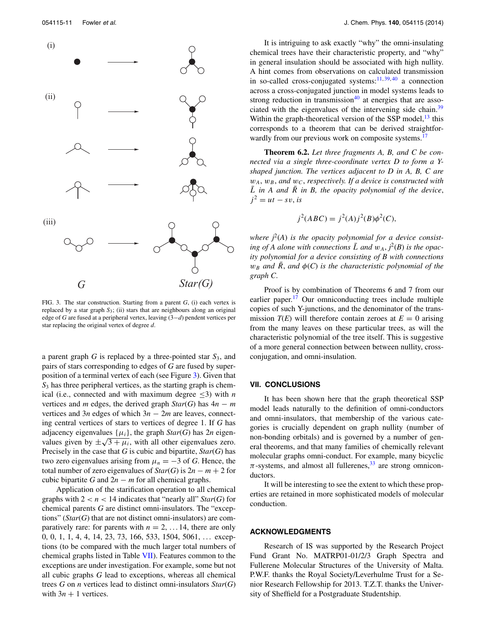<span id="page-10-1"></span>

FIG. 3. The star construction. Starting from a parent *G*, (i) each vertex is replaced by a star graph *S*3; (ii) stars that are neighbours along an original edge of *G* are fused at a peripheral vertex, leaving (3−*d*) pendent vertices per star replacing the original vertex of degree *d*.

a parent graph *G* is replaced by a three-pointed star *S*3, and pairs of stars corresponding to edges of *G* are fused by superposition of a terminal vertex of each (see Figure [3\)](#page-10-1). Given that *S*<sup>3</sup> has three peripheral vertices, as the starting graph is chemical (i.e., connected and with maximum degree  $\leq 3$ ) with *n* vertices and *m* edges, the derived graph  $Star(G)$  has  $4n - m$ vertices and 3*n* edges of which 3*n* − 2*m* are leaves, connecting central vertices of stars to vertices of degree 1. If *G* has adjacency eigenvalues  $\{\mu_i\}$ , the graph *Star*(*G*) has  $2n$  eigenvalues given by  $\pm\sqrt{3+\mu_i}$ , with all other eigenvalues zero. Precisely in the case that *G* is cubic and bipartite, *Star*(*G*) has two zero eigenvalues arising from  $\mu_n = -3$  of *G*. Hence, the total number of zero eigenvalues of  $Star(G)$  is  $2n - m + 2$  for cubic bipartite *G* and  $2n - m$  for all chemical graphs.

Application of the starification operation to all chemical graphs with  $2 < n < 14$  indicates that "nearly all" *Star(G)* for chemical parents *G* are distinct omni-insulators. The "exceptions" (*Star*(*G*) that are not distinct omni-insulators) are comparatively rare: for parents with  $n = 2, \ldots 14$ , there are only 0, 0, 1, 1, 4, 4, 14, 23, 73, 166, 533, 1504, 5061, ... exceptions (to be compared with the much larger total numbers of chemical graphs listed in Table [VII\)](#page-8-3). Features common to the exceptions are under investigation. For example, some but not all cubic graphs *G* lead to exceptions, whereas all chemical trees *G* on *n* vertices lead to distinct omni-insulators *Star*(*G*) with  $3n + 1$  vertices.

It is intriguing to ask exactly "why" the omni-insulating chemical trees have their characteristic property, and "why" in general insulation should be associated with high nullity. A hint comes from observations on calculated transmission in so-called cross-conjugated systems: $\frac{11,39,40}{11,39,40}$  $\frac{11,39,40}{11,39,40}$  $\frac{11,39,40}{11,39,40}$  $\frac{11,39,40}{11,39,40}$  a connection across a cross-conjugated junction in model systems leads to strong reduction in transmission $40$  at energies that are asso-ciated with the eigenvalues of the intervening side chain.<sup>[39](#page-11-31)</sup> Within the graph-theoretical version of the SSP model, $^{13}$  this corresponds to a theorem that can be derived straightforwardly from our previous work on composite systems.<sup>17</sup>

**Theorem 6.2.** *Let three fragments A, B, and C be connected via a single three-coordinate vertex D to form a Yshaped junction. The vertices adjacent to D in A, B, C are*  $w_A$ ,  $w_B$ , and  $w_C$ , *respectively. If a device is constructed with*  $\overline{L}$  *in A and*  $\overline{R}$  *in B, the opacity polynomial of the device,*  $j^2 = ut - sv$ , *is* 

$$
j2(ABC) = j2(A)j2(B)\phi2(C),
$$

where  $j^2(A)$  is the opacity polynomial for a device consisting of A alone with connections  $\overline{L}$  and  $w_A$ ,  $\overline{j}^2(B)$  is the opac*ity polynomial for a device consisting of B with connections*  $w_B$  *and*  $\bar{R}$ , *and*  $\phi$ (*C*) *is the characteristic polynomial of the graph C*.

Proof is by combination of Theorems 6 and 7 from our earlier paper. $17$  Our omniconducting trees include multiple copies of such Y-junctions, and the denominator of the transmission  $T(E)$  will therefore contain zeroes at  $E = 0$  arising from the many leaves on these particular trees, as will the characteristic polynomial of the tree itself. This is suggestive of a more general connection between between nullity, crossconjugation, and omni-insulation.

# <span id="page-10-0"></span>**VII. CONCLUSIONS**

It has been shown here that the graph theoretical SSP model leads naturally to the definition of omni-conductors and omni-insulators, that membership of the various categories is crucially dependent on graph nullity (number of non-bonding orbitals) and is governed by a number of general theorems, and that many families of chemically relevant molecular graphs omni-conduct. For example, many bicyclic  $\pi$ -systems, and almost all fullerenes,<sup>33</sup> are strong omniconductors.

It will be interesting to see the extent to which these properties are retained in more sophisticated models of molecular conduction.

#### **ACKNOWLEDGMENTS**

Research of IS was supported by the Research Project Fund Grant No. MATRP01-01/2/3 Graph Spectra and Fullerene Molecular Structures of the University of Malta. P.W.F. thanks the Royal Society/Leverhulme Trust for a Senior Research Fellowship for 2013. T.Z.T. thanks the University of Sheffield for a Postgraduate Studentship.